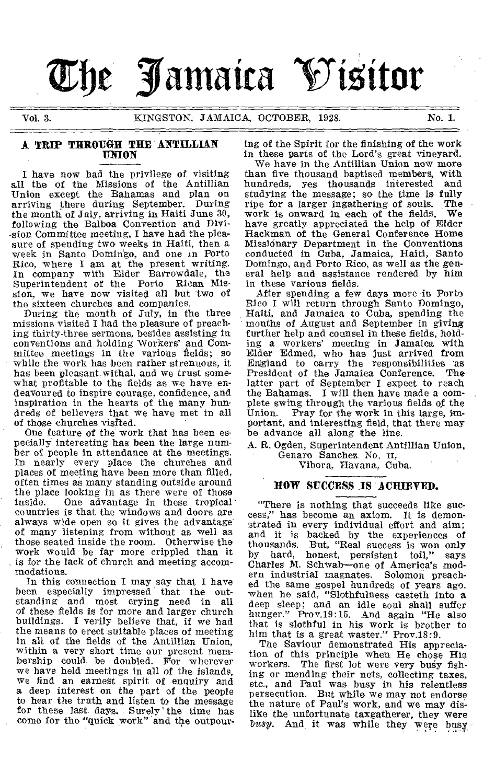# The Jamaica Visitor

Vol. 3. KINGSTON, JAMAICA, OCTOBER, 1928. No. I.

#### A TRIP THROUGH THE ANTILLIAN UNION

I have now had the privilege of visiting all the of the Missions of the Antillian Union except the Bahamas and plan on arriving there during September. During the month of July, arriving in Haiti June 30, following the Balboa Convention and Division Committee meeting, I have had the pleasure of spending two weeks in Haiti, then a week in Santo Domingo, and one in Porto Rico, where I am at the present writing. In company with Elder Barrowdale, the Superintendent of the sion, we have now visited all but two of

the sixteen churches and companies. During the month of July, in the three missions visited I had the pleasure of preaching thirty-three sermons, besides assisting in conventions and holding Workers' and Com-mittee meetings in the various fields; so while the work has been rather strenuous, it has been pleasant. withal, and we trust somewhat profitable to the fields as we have endeavoured to inspire courage, confidence, and inspiration in the hearts of the many hundreds of believers that we have met in all of those churches visited.

One feature of the work that has been especially interesting has been the large number of people in attendance at the meetings. In nearly every place the churches and places of meeting have been more than filled, often times as many standing outside around the place looking in as there were of those<br>inside. One advantage in these tropical One advantage in these tropical countries is that the windows and doors are always wide open so it gives the advantage of many listening from without as well as those seated inside the room. Otherwise the work would be far more crippled than it is for the lack of church and meeting accommodations.

In this connection I may say that I have<br>been especially impressed that the outespecially impressed that the outstanding and most crying need in all of these fields is for more and larger church buildings. I verily believe that, if we had the means to erect suitable places of meeting in all of the fields of the Antillian Union, within a very short time our present membership could be doubled. For wherever we have held meetings in all of the islands, we find an earnest spirit of enquiry and a deep interest on the part of the people to hear the truth and listen to the message for these last days. Surely the time has come for the "quick work" and the outpour-

ing of the Spirit for the finishing of the work in these parts of the Lord's great vineyard.

We have in the Antillian Union now more than five thousand baptised members, with hundreds, yes thousands interested studying the message; so the time is fully ripe for a larger ingathering of souls. The ripe for a larger ingathering of souls. The work is onward in each of the fields. have greatly appreciated the help of Elder Hackman of the General Conference Home Missionary Department in the Conventions conducted in Cuba, Jamaica, Haiti, Santo Domingo, and Porto Rico, as well as the general help and assistance rendered by him in these various fields.

After spending a few days more in Porto Rico I will return through Santo Domingo, Haiti, and Jamaica to Cuba, spending the months of August and September in giving further help and counsel in these fields, holding a workers' meeting in Jamaica with Elder Edmed, who has just arrived from England to carry the responsibilities as President of the Jamaica Conference. The latter part of September I expect to reach the Bahamas. I will then have made a complete swing through the various fields of the<br>Union. Pray for the work in this large, im-Pray for the work in this large, important, and interesting field, that there may be advance all along the line.

A. R. Ogden, Superintendent Antillian Union, Genaro Sanchez. No. it,

Vibora, Havana, Cuba.

#### HOW SUCCESS IS ACHIEVED.

"There is nothing that succeeds like success," has become an axiom. It is demonstrated in every individual effort and aim; and it is backed by the experiences of<br>thousands. But, "Real success is won only thousands. But, "Real success is won only<br>by hard, honest, persistent toil." savs by hard, honest, persistent toil," says Charles M. Schwab—one of America's modern industrial magnates. Solomon preached the same gospel hundreds of years ago. when he said, "Slothfulness casteth into a deep sleep; and an idle soul shall suffer hunger." Prov.19:15. And again "He also that is slothful in his work is brother to him that is a great waster." Prov.18:9.

The Saviour demonstrated His apprecia-tion of this principle when He chose His workers. The first lot were very busy fishing or mending their nets, collecting taxes, etc., and Paul was busy in his relentless persecution. But while we may not endorse the nature of Paul's work, and we may dislike the unfortunate taxgatherer, they were *busy.* And it was while they were busy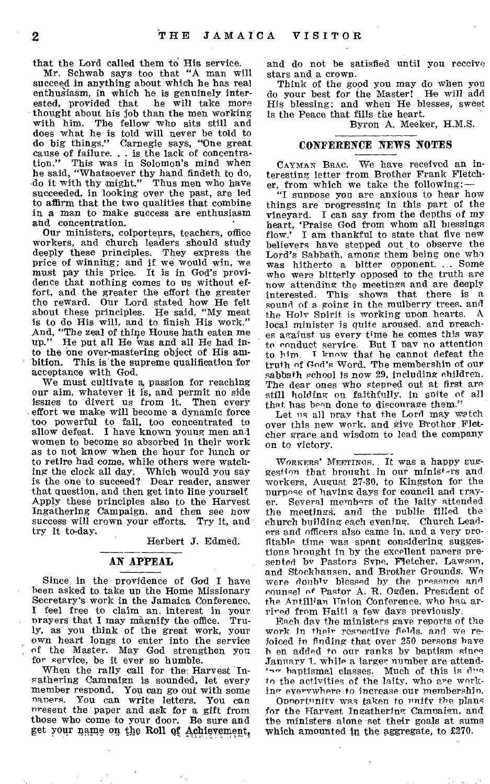that the Lord called them to His service. Mr. Schwab says too that "A man will succeed in anything about which he has real enthusiasm, in which he is genuinely inter-<br>ested, provided that he will take more ested, provided that thought about his job than the men working with him. The fellow who sits still and does what he is told will never be told to do big things." Carnegie says, "One great cause of failure. . . is the lack of concentra-tion." This was in Solomon's mind when he said, "Whatsoever thy hand findeth to do, do it with thy might." Thus men who have succeeded, in looking over the past, are led to affirm that the two qualities that combine in a man to make success are enthusiasm and concentration.

Our ministers, colporteurs, teachers, office workers, and church leaders should study deeply these principles. They express the price of winning; and if we would win, we must pay this price. It is in God's providence that nothing comes to us without effort, and the greater the effort the greater the reward. Our Lord stated how He felt about these principles. He said, "My meat is to do His will, and to finish His work." And, "The zeal of thine House hath eaten me up." He put all He was and all He had into the one over-mastering object of His ambition. This is the supreme qualification for acceptance with God.

We must cultivate a, passion for reaching our aim, whatever it is, and permit no side issues to divert us from it. Then every effort we make will become a dynamic force too powerful to fail, too concentrated to allow defeat. I have known young men and women to become so absorbed in their work as to not know when the hour for lunch or to retire had come, while others were watching the clock all day. Which would you say is the one to succeed? Dear reader, answer that question, and then get into line yourself Apply these principles also to the Harvest Ingathering Campaign, and then see how success will crown your efforts. Try it, and try it to-day.

Herbert J. Edmed.

#### AN APPEAL

Since in the providence of God I have been asked to take up the Home Missionary Secretary's work in the Jamaica Conference, I feel free to claim an, interest in your prayers that I may magnify the office. ly, as you think of the great work, your own heart longs to enter into the service of the Master. May God strengthen you for service, be it ever so humble.

When the rally call for the, Harvest Ingathering Campaign is sounded, let every member respond. You can go out with some ngoers, You can write letters. You can nresent the paper and ask for a gift from those who come to your door. Be sure and pt your name on the Roll qf Achievement,

and do not be satisfied until you receive stars and a crown.

Think of the good you may do when you do your best for the Master! He will add His blessing; and when He blesses, sweet is the Peace that fills the heart.

Byron A. Meeker, H.M.S.

#### CONFERENCE NEWS NOTES

CAYMAN BRAC. We have received an interesting letter from Brother Frank Fletcher, from which we take the following:—

"I suppose you are anxious to hear how things are progressing in this part of the vineyard. I can say from the depths of my heart, 'Praise God from whom all blessings flow.' I am thankful to state that five new believers have stepped out to observe the Lord's Sabbath, among them being one who was hitherto a bitter opponent. ... Some who were bitterly opposed to the truth are now attending the meetings and are deeply interested. This shows that there is a sound of a going in the mulberry trees. and the Holy Spirit is working upon hearts. A local minister is quite aroused, and preaches against us every time he comes this way to conduct service. But I nay no attention to him. T know that he cannot defeat the truth of God's Word. The membershin of our sabbath school is now 29, including children. The dear ones who stepned out at first are still holding on faithfully, in spite of all that has been done to discourage them.'

Let ns all pray that the Lord may watch over this new work, and give Brother Fletcher grace and wisdom to lead the company on to victory.

WORKERS' MEETINGS. It was a happy suggestion that brought in our ministers and workers, August 27-30, to Kingston for the purpose of having days for council and trayer. Several members of the laity attended the meetingg, and 'the public filled the church building each evening. Church Leaders and officers also came in, and a very profitable time was spent considering suggestions brought in by the excellent pavers presented by Pastors Svpe, Fletcher, Lawson, and Stockhausen. and Brother Grounds. We were doubly blessed by the presence and counsel of Pastor A. R. Ogden, President of the Antillian 'Union Conference. who has arrived from Haiti a few days previously.

Each day the ministers gave reports of the work in their resnective fields. and we rejoiced in finding that over 250 persons have h en added to our ranks by baptism since January 1. while a larger number are attendbaptismal classes. Much of this is due to the activities of the laity. who are working everywhere to increase our membershin.

Onnortnnity was taken to unify the plans for the Harvest Ingathering Campaign, and the ministers alone set their goals at sums which amounted. in the aggregate, to £270.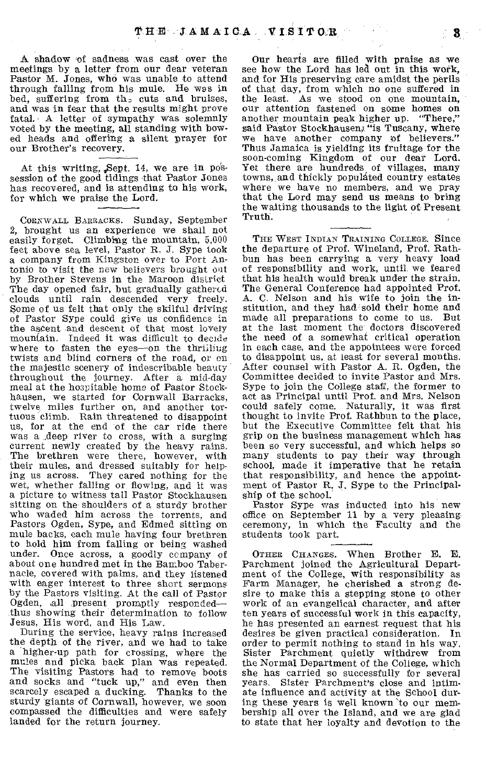A shadow 'of sadness was cast over the meetings by a letter from our dear veteran Pastor M. Jones, who was unable to attend through falling from his mule. He was in bed, suffering from  $th_z$  cuts and bruises, and was in fear that the results might prove fatal. A letter of sympathy was solemnly voted by the meeting, all standing with bowed heads and offering a silent prayer for our Brother's recovery.

At this writing, ,Sept. 14, we are in pos-session of the good tidings that Pastor Jones has recovered, and is attending to his work, for which we praise the Lord.

CORNWALL BARRACKS. Sunday, September 2, brought us an experience we shall not easily forget. Climbing the mountain, 5,000 feet above sea level, Pastor R. J. Sype took a company from Kingston over to Port Antonio to visit the new believers brought out by Brother Stevens in the Maroon district The day opened fair, but gradually gathered clouds until rain descended very freely. Some of us felt that only the skilful driving of Pastor Sype could give us confidence in the ascent and descent of that most lovely mountain. Indeed it was difficult to decide where to fasten the eyes-on the thrilliug twists and blind corners of the road, or on the majestic scenery of indescribable beauty throughout the journey. After a mid-day meal at the hospitable home of Pastor Stockhausen, we started for Cornwall Barracks, twelve miles further on, and another tortuous climb. Rain threatened to disappoint us, for at the end of the car ride there was a .deep river to cross, with a surging current newly created by the heavy rains. The brethren were there, however, with their mules, and dressed suitably for helping us across. They cared nothing for the wet, whether falling or flowing, and it was a picture to witness tall Pastor Stockhausen sitting on the shoulders of a sturdy brother who waded him across the torrents, and Pastors Ogden, Sype, and Edmed sitting on mule backs, each mule having four brethren to hold him from falling or being washed under. Once across, a goodly company of about one hundred met in the Bamboo Tabernacle, covered with palms, and they listened with eager interest to three short sermons by the Pastors visiting. At the call of Pastor Ogden, all present promptly responded— thus showing their determination to follow Jesus, His word, and His Law.

During the service, heavy rains increased the depth of the river, and we had to take a higher-up path for crossing, where the mules and picka back plan was repeated. The visiting Pastors had to remove boots and socks and "tuck up," and even then scarcely escaped a ducking. Thanks to the sturdy giants of Cornwall, however, we soon compassed the difficulties and were safely landed for the return journey.

Our hearts are filled with praise as we see how the Lord has led out in this work, and for His preserving care amidst the perils of that day, from which no one suffered in the least. As we stood on one mountain, our attention fastened on some homes on another mountain peak higher up. "There," said Pastor Stockhausen, "is Tuscany, where we have another company of believers." Thus Jamaica is yielding its fruitage for the soon-coming Kingdom of our dear Lord. Yet there are hundreds of villages, many towns, and thickly populated country estates where we have no members, and we pray that the Lord may send us means to bring the waiting thousands to the light of Present Truth.

THE WEST INDIAN TRAINING COLLEGE. Since the departure of Prof. Wineland, Prof. Rathbun has been carrying a very heavy load of responsibility and work, until, we feared that his health would break under the strain. The General Conference had appointed Prof. A. C. Nelson and his wife to join the in-stitution, and they had sold their home and made all preparations to come to us. But at the last moment the doctors discovered the need of a somewhat critical operation in each case, and the appointees were forced to disappoint us, at least for several months. After counsel with Pastor A. R. Ogden, the Committee decided to invite Pastor and Mrs. Sype to join the College staff, the former to act as Principal until Prof. and Mrs. Nelson could safely come. Naturally, it was first thought to invite Prof. Rathbun to the place, but the Executive Committee felt that his grip on the business management which has been so very successful, and which helps so many students to pay their way through school, made it imperative that he retain that responsibility, and hence the appointment of Pastor R. J. Sype to the Principalship of the school.

Pastor Sype was inducted into his new office on September 11 by a very pleasing ceremony, in which the Faculty and the students took part.

OTHER CHANGES. When Brother E. E. Parchment joined the Agricultural Department of the College, with responsibility as Farm Manager, he cherished a strong desire to make this a stepping stone to other work of an evangelical character, and after ten years of successful work in this capacity, he has presented an earnest request that his desires be given practical consideration. In order to permit nothing to stand in his way, Sister Parchment quietly withdrew from the Normal Department of the College, which she has carried so successfully for several<br>years. Sister Parchment's close and intim-Sister Parchment's close and intimate influence and activity at the School during these years is well known 'to our membership all over the Island, and we are glad to state that her loyalty and devotion to the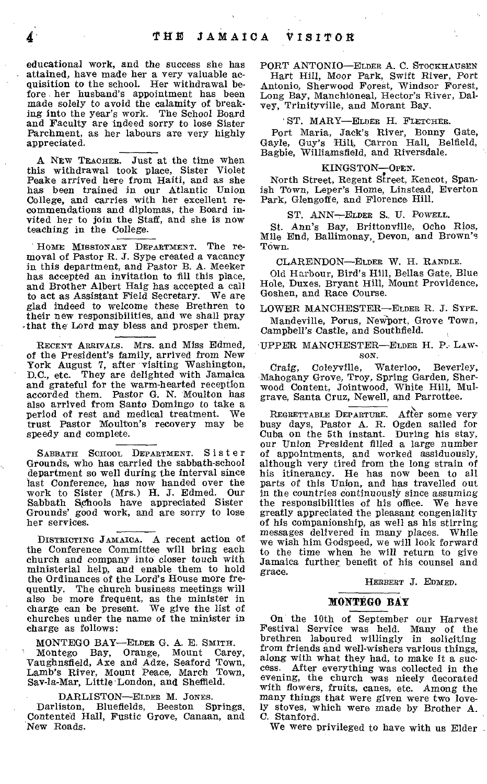educational work, and the success she has attained, have made her a very valuable acquisition to the school. Her withdrawal before her husband's appointment has been made solely to avoid the calamity of breaking into the year's work. The School Board and Faculty are indeed sorry to lose Sister Parchment, as her labours are very highly appreciated.

A NEW TEACHER. Just at the time when this withdrawal took place, Sister Violet Peake arrived here from Haiti, and as she has been trained in our Atlantic Union College, and carries with her excellent recommendations and diplomas, the Board invited her to join the Staff, and she is now teaching in the College.

HOME MISSIONARY DEPARTMENT. The re-moval of Pastor R. J. Sype created a vacancy in this department, and Pastor B. A. Meeker has accepted an invitation to fill this place, and Brother Albert Haig has accepted a call to act as Assistant Field Secretary. We are to act as Assistant Field Secretary. *glad* indeed to welcome these Brethren to their new responsibilities, and we shall pray ,that the Lord may bless and prosper them.

RECENT ARRIVALS. Mrs. and Miss Edmed, of the President's family, arrived from New York August 7, after visiting Washington, D.C., etc. They are delighted with Jamaica and grateful for the warm-hearted reception accorded them. Pastor G. N. Moulton has also arrived from Santo Domingo to take a period of rest and medical treatment. We trust Pastor Moulton's recovery may be speedy and complete.

SABBATH SCHOOL DEPARTMENT. Sister Grounds, who has carried the sabbath-school department so well during the interval since last Conference, has now handed over the work to Sister (Mrs.) H. J. Edmed. Our Sabbath Schools have appreciated Sister Grounds' good work, and are sorry to lose her *services.* 

DISTRICTING JAMAICA. A recent action of the Conference Committee will bring each church and company into closer touch with ministerial help, and enable them to hold the Ordinances of the Lord's House more frequently. The church business meetings will also *be* more frequent, as the minister in charge can be present. We give the list of churches under the name of the minister in charge as follows:

MONTEGO BAY—ELDER G. A. E. SMITH.

Montego Bay, Orange, Mount Carey, Vaughnsfield, Axe and Adze, Seaford Town, Lamb's River, Mount Peace, March Town, Say-la-Mar, Little London, and Sheffield.

DARLISTON—ELDER M. JONES.

Darliston, Bluefields, Beeston Springs, Contented Hall, Fustic Grove, Canaan, and New Roads.

PORT ANTONIO—ELDER A. C. STOCKHAUSEN

Hart Hill, Moor Park, Swift River, Port Antonio, Sherwood Forest, Windsor Forest, Long Bay, Manchioneal, Hector's River, Dal-vey, Trinityville, and Morant Bay.

#### ST. MARY—ELDER H. FLETCHER.

Port Maria, Jack's River, Bonny Gate, Gayle, Guy's Hill, Carron Hall, Belfield, Bagbie, Williamsfield, and Riversdale.

#### KINGSTON—OPEN.

North Street, Regent Street, Kencot, Spanish Town, Leper's Home, Linstead, Everton Park, Glengoffe, and Florence Hill.

ST. *ANN—ELDER* S. U. POWELL.

St. Ann's Bay, Brittonville, Ocho Rios, Mile End, Ballimonay, Devon, and Brown's Town.

#### CLARENDON—ELDER W. H. RANDLE.

Old Harbour, Bird's Hill, Bellas Gate, Blue Hole, Duxes, Bryant Hill, Mount Providence, Goshen, and Race Course.

LOWER MANCHESTER—ELDER R. J. SYPE. Mandeville, Porus, NeWbort, Grove Town, Campbell's Castle, and Southfield.

#### UPPER MANCHESTER—ELDER H. P. LAW-SON.

Craig, Coleyville, Waterloo, Beverley, Mahogany Grove, Troy, Spring Garden, Sherwood Content, Jointwood, White Hill, Mul-grave, Santa Cruz, Newell, and Parrottee.

REGRETTABLE DEPARTURE. After some very busy days, Pastor A. R. Ogden sailed for Cuba on the 5th instant. During his stay, our Union President filled a large number of appointments, and worked assiduously, although very tired from the long strain of his itinerancy. He has now been to all parts of this Union, and has travelled out in the countries continuously since assuming the responsibilities of his office. We have greatly appreciated the pleasant congeniality of his companionship, as well as his stirring messages delivered in many places. While we wish him Godspeed, we will look forward to the time when he will return to give Jamaica further benefit of his counsel and grace.

HERBERT J. EDMED.

#### **MONTEGO BAY**

On the 10th of September our Harvest Festival Service was held. Many of the brethren laboured willingly in soliciting from friends and well-wishers various things, along with what they had, to make it a success. After everything was collected in the evening, the church was nicely decorated with flowers, fruits, canes, etc. Among the many things that were given were two lovely stoves, which were made by Brother A. C. Stanford.

We were privileged to have with us Elder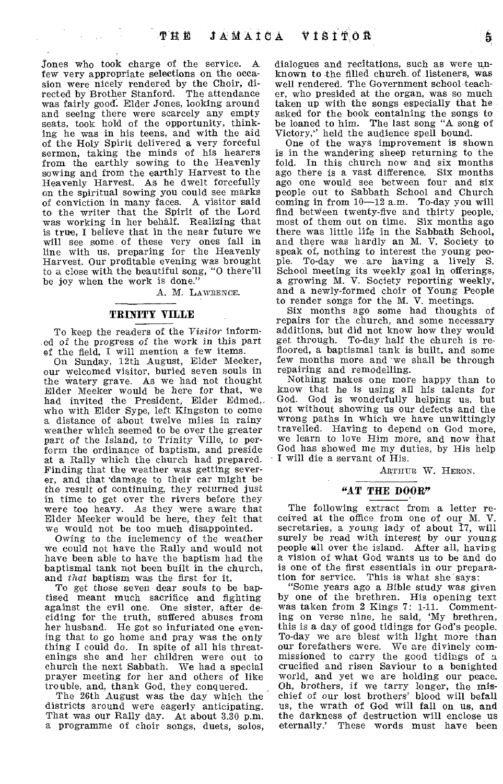Jones who took charge of the service. A few very appropriate selections on the occasion were nicely rendered by the Choir, directed by Brother Stanford. The attendance was fairly good. Elder Jones, looking around and seeing there were scarcely any empty seats, took hold of the opportunity, thinking he was in his teens, and with the aid of the Holy Spirit delivered a very forceful sermon, taking the minds of his hearers from the earthly sowing to the Heavenly sowing and from the earthly Harvest to the Heavenly Harvest. As he dwelt forcefully an the spiritual sowing you could see marks of conviction in many faces. A visitor said to the writer that the Spirit of the Lord was working in her behalf. Realizing that is true, I believe that in the near future we will see some of these very ones fall in line with us, preparing for the Heavenly Harvest. Our profitable evening was brought to a close with the beautiful song, "0 there'll be joy when the work is done."

A. M. LAWRENCE.

#### **TRINITY YILLE**

To keep the readers of the *Visitor* informed of the progress of the work in this part of the field, I will mention a few items.

On Sunday, 12th August, Elder Meeker, our welcomed visitor, buried seven souls in the watery grave. As we had not thought Elder Meeker would be here for that, we had invited the President, Elder Edmed,. who with Elder Sype, left Kingston to come a distance of about twelve miles in rainy weather which seemed to be over the greater part of the Island, to Trinity Ville, to perform the ordinance of baptism, and preside at a Rally which the church had prepared. Finding that the weather was getting severer, and that damage to their car might be the result of continuing, they returned just in time to get over the rivers before they were too heavy. As they were aware that Elder Meeker would be here, they felt that we would not be too much disappointed.

Owing to the inclemency of the weather we could not have the Rally and would not have been able to have the baptism had the baptismal tank not been built in the church, and *that* baptism was the first for it.

To get those seven dear souls to be baptised meant much sacrifice and fighting against the evil one. One sister, after de-ciding for the truth, suffered abuses from her husband. He got so infuriated one evening that to go home and pray was the only thing I could do. In spite of all his threatenings she and her children were out to church the next Sabbath. We had a special prayer meeting for her and others of like trouble, and, thank God, they conquered.

The 26th August was the day which the districts around were eagerly anticipating. That was our Rally day. At about 3.30 p.m. a programme of choir songs, duets, solos,

dialogues and recitations, such as were unknown to the filled church. of listeners, was well rendered. The Government school teacher, who presided at the organ, was so much taken up with the songs especially that he asked for the book containing the songs to be loaned to him. The last song "A song of Victory," held the audience spell bound.

One of the ways improvement is shown is in the wandering sheep returning to the fold. In this church now and six months ago there is a vast difference. Six months ago one would see between four and six people out to Sabbath School and Church coming in from  $10-12$  a.m. To-day you will find between twenty-five and thirty people, most of them out on time. Six months ago there was little life in the Sabbath School, and there was hardly an M. V. Society to speak of, nothing to interest the young people. To-day we are having a lively S. School meeting its weekly goal in offerings, a growing M. V. Society reporting weekly, and a newly-formed choir of Young People to render songs for the M. V. meetings.

Six months ago some had thoughts of repairs for the church, and some necessary additions, but did not know how they would get through. To-day half the church is refloored, a baptismal tank is built, and some few months more and 'we shall be through repairing and remodelling.

Nothing makes one more happy than to know that he is using all his talents for God. God is wonderfully helping us, but not without showing us our defects and the wrong paths in which we have unwittingly travelled. Having to depend on God more, we learn to love Him more, and now that God has showed me my duties, by His help I will die a servant of His.

ARTHUR W. HERON.

#### **"AT THE DOOR"**

The following extract from a letter received at the office from one of our M. V. secretaries, a young lady of about 17, will surely be read with interest by our young people all over the island. After all, having a vision of what God wants us to be and do is one of the first essentials in our preparation for service. This is what she says:

"Some years ago a Bible study was *given*  by one of the brethren. His opening text was taken from 2 Kings 7: 1-11. Commenting on verse nine, he said, 'My brethren, this is a day of good tidings for God's people. To-day we are blest with light more than our forefathers were. missioned to carry the good tidings of a crucified and risen Saviour to a benighted world, and yet we are holding our peace. Oh, brothers, if we tarry longer, the mischief of our lost brothers' blood will befall us, the wrath of God will fall on us, and the darkness of destruction will enclose us eternally.' These words must have been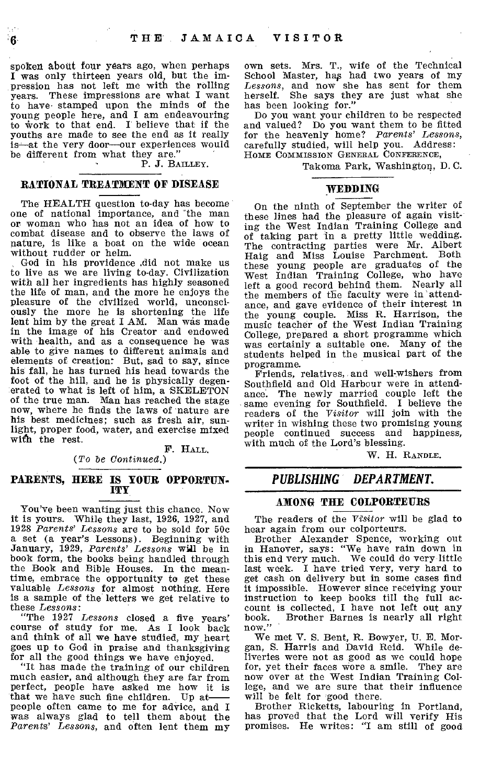spoken about four years ago, when perhaps I was only thirteen years old, but the impression has not left me with the rolling years. These impressions are what I want to have• stamped upon the minds of the young people here, and I am endeavouring to Work to that end. I believe that if the youths are made to see the end as it really is—at the very door—our experiences would be different from what they are."

P. J. BAILLEY.

#### **RATIONAL TREATMENT OF DISEASE**

The HEALTH question to-day has become one of national importance, and 'the man or woman who has not an idea of how to combat disease and to observe the laws of nature, is like a boat on the wide ocean without rudder or helm.

God in his providence .did not make us to live as we are living to-day. Civilization with all her ingredients has highly seasoned the life of man, and the more he enjoys the pleasure of the civilized world, unconsciously the more he is shortening the life lent him by the great I AM. Man was made in the image of his Creator and endowed with health, and as a consequence he was able to give names to different animals and elements of creation: But, sad to say, since his fall, he has turned his head towards the foot of the hill, and he is physically degenerated to what is left of him, a SKELETON of the true man. Man has reached the stage now, where he finds the laws of nature are his best medicines; such as fresh air, sunlight, proper food, water, and exercise mixed with the rest.

F. HALL.

*(To be Continued.)* 

#### **PARENTS, HERE IS YOUR OPPORTUN-ITY**

You've been wanting just this chance. Now it is yours. While they last, 1926, 1927, and 1928 *Parents' Lessons* are to be sold for 50c a set (a year's Lessons). Beginning with January, 1929, *Parents' Lessons* **will** be in book form, the books being handled through the Book and Bible Houses. In the meantime, embrace the opportunity to get these valuable *Lessons* for almost nothing. Here is a sample of the letters we get relative to these *Lessons:* 

"The 1927 *Lessons* closed a five years' course of study for me. As I look back and think of all we have studied, my heart goes up to God in praise and thanksgiving for all the good things we have enjoyed.

"It has made the training of our children much easier, and although they are far from perfect, people have asked me how it is that we have such fine children. Up at people often came to me for advice, and I was always glad to tell them about the *Parents' Lessons,* and often lent them my

own sets. Mrs. T., wife of the Technical School Master, has had two years of my *Lessons,* and now she has sent for them herself. She says they are just what she has been looking for."

Do you want your children to be respected and valued? Do you want them to be fitted for the heavenly home? *Parents' Lessons,*  carefully studied, will help you. Address: HOME COMMISSION GENERAL CONFERENCE,

Takoma Park, Washington, **D.** C.

#### **WEDDING**

On the ninth of September the writer of these lines had the pleasure of again visiting the West Indian Training College and of taking part in a pretty little wedding. The contracting parties were Mr. Albert Haig and Miss Louise Parchment. Both these young people are graduates of the West Indian Training College, who have left a good record behind them. Nearly all the members of the faculty were in 'attendance, and gave evidence of their interest in the young couple. Miss R. Harrison, the music teacher of the West Indian Training College, prepared a short programme which was certainly a suitable one. Many of the students helped in the musical part of the programme.

Friends, relatives, and well-wishers from Southfield and Old Harbour were in attendance. The newly married couple left the same evening for Southfield. I believe the readers of the *'Visitor* will join with the writer in wishing these two promising young people continued success and happiness, with much of the Lord's blessing.

W. H. RANDLE.

### *PUBLISHING DEPARTMENT.*

#### **AMONG THE COLPORTEURS**

The readers of the *Visitor* will be glad to hear again from our colporteurs.

Brother Alexander Spence, working out in Hanover, says: "We have rain down in this end very much. We could do very little last week. **I** have tried very, very hard to get cash on delivery but in some cases find it impossible. However since receiving your instruction to keep books till the full account is collected, I have not left out any<br>book. Brother Barnes is nearly all right Brother Barnes is nearly all right now."

We met V. S. Bent, R. Bowyer, U. E. Morgan, S. Harris and David Reid. While deliveries were not as good as we could hope for, yet their faces wore a smile. They are now over at the West Indian Training College, and we are sure that their influence will be felt for good there.

Brother Ricketts, labouring in Portland, has proved that the Lord will verify His promises. He writes: "I am still of good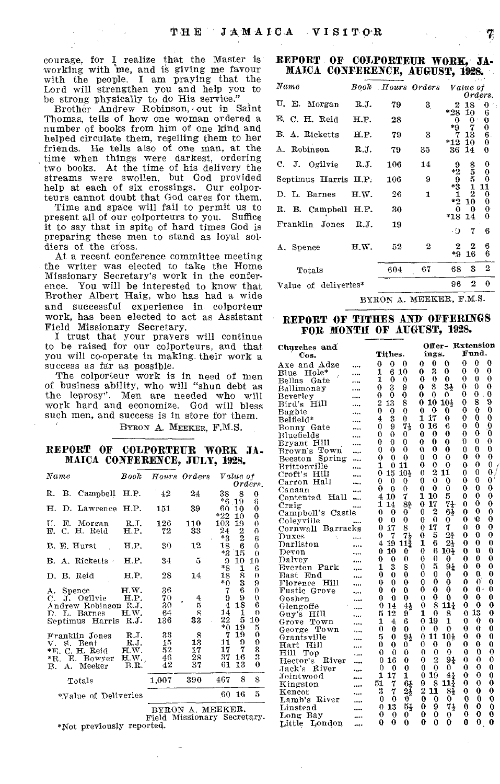courage, for I realize that the Master is working with me, and is giving me favour with the people. I am praying that the Lord will strengthen you and help you to he strong physically to do His service." Brother Andrew Robinson, out in Saint

Thomas, tells of how one woman ordered a number of books from him of one kind and helped circulate them, reselling them to her friends. He tells also of one man, at the time when things were darkest, ordering two books. At the time of his delivery the streams were swollen, but God provided help at each of six crossings. Our colporteurs cannot doubt that God cares for them.

Time and space will fail to permit us to present all of our colporteurs to you. Suffice it to say that in spite of hard times God is preparing these men to stand as loyal soldiers of the cross.

At a recent conference committee meeting the writer was elected to take the Home Missionary Secretary's work in the conference. You will be interested to know that Brother Albert Haig, who has had a wide and successful experience in, colporteur work, has been elected to act as Assistant Field Missionary Secretary.

I trust that your prayers will continue to be raised for our colporteurs, and that you will co-operate in making their work a success as far as possible.

The colporteur work is in need of men of business ability, who will "shun debt as the leprosy". Men are needed who will work hard and economize. God will bless such men, and success is in store for them.

BYRON A. MEEKER, F.M.S.

#### REPORT OF COLPORTEUR WORK JA-MAICA CONFERENCE, JULY, 1928.

| $_{Name}$                             | Book                |              | Hours Orders  | Value of            |                 | $0$ rders.                                                    |
|---------------------------------------|---------------------|--------------|---------------|---------------------|-----------------|---------------------------------------------------------------|
| R. B. Campbell H.P.                   |                     | $-42$        | 24            | 38<br>$*6$          | 8<br>.19        | 0<br>6                                                        |
| D. Lawrence H.P.<br>н.                |                     | 151          | 39            | 60<br>*22           | 10<br>10        | $\bf{0}$<br>$\bf{0}$                                          |
| TT.<br>E. Morgan<br>E. C. H. Reid     | <b>R.J.</b><br>H.P. | 126<br>72    | 110<br>33     | 103<br>24           | 19              | $\bf{0}$<br>$\boldsymbol{0}$                                  |
| B. E. Hurst                           | H.P.                | 30           | 12            | $*3$<br>18          | $\frac{2}{2}$ 6 | 6<br>$\theta$                                                 |
| B. A. Ricketts                        | H.P.                | 34           | $\frac{1}{2}$ | *3<br>9             | 15<br>10        | $\theta$<br>10                                                |
| D. B. Reid                            | H.P.                | 28           | 14            | *8<br>18<br>$*_{0}$ | $\frac{1}{8}$   | 6<br>0                                                        |
| A. Spence                             | HW.                 | 36           |               | 7                   | Ğ               | $\substack{9\\0}$                                             |
| C. J. Ogilvie<br>Andrew Robinson R.J. | H.P.                | 70<br>30     | 4<br>5        | 9<br>$\overline{4}$ | 18              | Ö<br>6                                                        |
| D. L. Barnes<br>Septimus Harris R.J.  | H.W.                | 64<br>136    | 8<br>33       | 14<br>22            | 1<br>5          | $\theta$<br>10                                                |
| Franklin Jones                        | R.T.                | 33           | 8             | $*_{0}$<br>7        | 19<br>19        | 5                                                             |
| V. S. Bent<br>*E. C. H. Reid          | RJ.<br>H.W.         | $15\,$<br>52 | 13<br>17      | 11<br>17            | 9<br>7          | $\begin{smallmatrix} 0 & 0 \ 0 & 3 \ 0 & 0 \end{smallmatrix}$ |
| *R. E. Bowyer H.W.<br>B. A. Meeker    | B.R.                | 46<br>42     | 28<br>37      | 37<br>61            | 16<br>13        |                                                               |
| Totals                                |                     | 1.007        | 390           | 467                 | 8               | 8                                                             |
| *Value of Deliveries                  |                     |              |               | 60.                 | 16              | 5                                                             |
|                                       |                     |              |               |                     |                 |                                                               |

BYRON A. MEEKER. Field Missionary Secretary. \*Not previously reported,

#### REPORT OF COLPORTEUR WORK, JA-MAICA CONFERENCE, AUGUST, 1928.

|                      |      |     |                         |                |                      | しどうこ                                           |
|----------------------|------|-----|-------------------------|----------------|----------------------|------------------------------------------------|
| $\it Name$           |      |     | Book Hours Orders       |                | Value of             | Orders.                                        |
| U. E. Morgan         | R.J. | 79  | 3                       | 2              | 18                   | O                                              |
| E. C. H. Reid        | H.P. | 28  |                         | *28.<br>0      | 10<br>0              | 6                                              |
| B. A. Ricketts       | H.P. | 79  | 3                       | *9             | 7<br>13              | $\begin{smallmatrix} 0\0\0\end{smallmatrix}$   |
| A. Robinson          | R.J. | 79  | 35                      | $*12$<br>36    | 10<br>14             | $\mathbf 0$<br>0                               |
| C. J. Ogilvie R.J.   |      | 106 | 14                      | 9              |                      | 0                                              |
| Septimus Harris H.P. |      | 106 | 9                       | $*29$<br>$*31$ | 8<br>5<br>1          | 0<br>0<br>11                                   |
| D. L. Barnes         | H.W. | 26  | 1                       | $*2$           | $\overline{2}$<br>10 | $\begin{smallmatrix} 0 \\ 0 \end{smallmatrix}$ |
| R. B. Campbell H.P.  |      | 30  |                         | 0<br>$*18$     | 0                    | $\boldsymbol{0}$<br>0                          |
| Franklin Jones       | R.J. | 19  |                         | -9             | 14<br>7              | 6                                              |
| A. Spence            | H.W. | 52  | 2                       | 2<br>*9        | 2<br>16              | 6<br>6                                         |
| Totals               |      | 604 | 67                      | 68             | 3                    | $\boldsymbol{2}$                               |
| Value of deliveries* |      |     |                         | 96             | $\boldsymbol{2}$     | 0                                              |
|                      |      |     | BYRON A. MEEKER, F.M.S. |                |                      |                                                |

## REPORT OF TITRES AND OFFERINGS

FOR MONTH OF AUGUST, 1928.

| Churches and                 |                |          |                  |          |                  |                 |                | Offer- Extension |                   |  |
|------------------------------|----------------|----------|------------------|----------|------------------|-----------------|----------------|------------------|-------------------|--|
| Cos.                         |                | Tithes.  |                  | ings.    |                  |                 |                | Fund.            |                   |  |
| Axe and Adze                 | 0              | 0        | 0                | 0        | $\theta$         | 0               | 0              | 0                | 0                 |  |
| Blue<br>$_{\rm Hole^{*}}$    | 1              | 6        | 10               | $\bf{0}$ | 3                | 0               | 0              | $\mathbf 0$      | 0                 |  |
| Bellas<br>Gate               | 1              | $\bf{0}$ | 0                | 0        | $\boldsymbol{0}$ | 0               | $\bf{0}$       | 0                | $\bf{0}$          |  |
| Ballimonay                   | 0              | 3        | 9                | 0        | 3                | 3 <sub>2</sub>  | $\theta$       | 0                | 0                 |  |
| Beverley                     | $\bf{0}$       | 0        | 0                | 0        | $\theta$         | 0               | 0              | 0                | 0                 |  |
| Bird's Hill                  | $\overline{2}$ | 13       | 8                | 0        | 10               | 10%             | $\overline{0}$ | 8                | 9                 |  |
| Bagbie                       | 0              | 0        | 0                | 0        | 0                | 0               | 0              | $\theta$         | 0                 |  |
| Belfield*                    | 4              | 3        | 0                | 1        | 17               | 0               | 0              | 0                | 0                 |  |
| Bonny Gate                   | 0              | 9        | $7\frac{1}{2}$   | 0        | 16               | 6               | $\bf{0}$       | 0                | 0                 |  |
| Bluefields                   | 0              | 0        | 0                | 0        | 0                | 0               | 0              | 0                | 0                 |  |
| Bryant Hill                  | 0              | 0        | 0                | 0        | 0                | 0               | 0              | 0                | 0                 |  |
| Brown's Town                 | 0              | 0        | 0                | 0        | 0                | 0               | 0              | 0                | 0                 |  |
| Spring                       | 0              | 0        | $\bf{0}$         | 0        | 0                | $\theta$        | 0              | 0                | $\bf{0}$          |  |
| Beeston<br>Brittonville      | 1              | 0        | 11               | 0        | 0                | 0               | 0              | 0                | $\mathbf 0$       |  |
| Croft's Hill                 | 0              | 15       | 10+              | 0        | $\overline{2}$   | 11              | 0              | 0                | $\bf{0}$          |  |
| Carron Hall                  | 0              | 0        | 0                | 0        | 0                | 0               | 0              | 0                | 0                 |  |
|                              | 0              | 0        | 0                | 0        | 0                | $\theta$        | 0              | 0                | $\ddot{\text{o}}$ |  |
| Canaan<br>Hall               | 4              | 10       | 7                | 1        | 10               | 5               | 0              | 0                | $\bf{0}$          |  |
| Contented                    | 1              | 14       | 84               | $\bf{0}$ | 17               | 7.1             | 0              | 0                | 0                 |  |
| Craig                        | 0              | 0        | 0                | 0        | 2                | 61              | 0              | 0                | $\mathbf{0}$      |  |
| Campbell's Castle            | 0              | $\bf{0}$ | 0                | $\theta$ | $\theta$         | 0               | 0              | ۱Ω               | $\bf{0}$          |  |
| Coleyville                   | 0              | 17       | 8                | $\bf{0}$ | 17               | 7               | 0              | 0                | 0                 |  |
| Cornwall<br>Barracks         | 0              | 7        | 74               | 0        | 5                | 24              | 0              | 0                | 0                 |  |
| $_{\rm Duxes}$               |                | 19       | 113              | 1        | 6                | 21              | 0              | 0                | 0                 |  |
| Darliston                    | 4<br>0         | 10       | $\bf{0}$         | 0        | 6                | $10+$           | 0              | O                | $\theta$          |  |
| Devon                        |                | 0        | 0                | 0        | 0                | 0               | 0              | 0                | 0                 |  |
| Dalvey                       | 0              |          |                  |          | 5.               | 94              | 0              | 0                | 0                 |  |
| Everton Park                 | 1<br>O         | 3<br>Ô   | 8<br>$\theta$    | 0<br>0   | 0                | 0               | 0              | 0                | 0                 |  |
| $\operatorname{End}$<br>East |                |          |                  |          | 0                | 0               | 0              | 0                | 0                 |  |
| Hill<br>Florence             | 0              | 0        | 0                | 0        |                  | 0               |                | 0.               | O                 |  |
| Fustic Grove<br>             | 0              | 0        | 0                | 0        | 0                |                 | 0<br>0         | 0                | 0                 |  |
| Goshen                       | 0              | 0        | 0                | 0        | 0                | 0               |                |                  | 0                 |  |
| Glengoffe                    | 0              | 14       | 4 <sub>2</sub>   | 0        | 8                | 11}             | 0              | 0                |                   |  |
| Guy's Hill                   | ភ              | 12       | 9                | 1        | 0                | 8               | 0              | 13               | 0                 |  |
| Town<br>Grove                | 1              | 4        | 6                | 0        | 19               | $\mathbf{1}$    | 0              | 0                | 0<br>0            |  |
| George Town<br>              | 0              | 0        | $\theta$         | 0        | 0                | $\theta$        | 0              | 0                |                   |  |
| Grantsville<br>              | 5              | 0        | 94               | 0        | 11               | 10%             | 0              | 0                | $\bf{0}$          |  |
| Hart Hill                    | 0              | 0        | 0                | 0        | 0                | 0               | 0              | 0                | 0                 |  |
| Hill<br>Top                  | 0              | 0        | O                | 0        | 0                | 0               | 0              | 0                | 0<br>$\mathbf{0}$ |  |
| Hector's<br>River            | 0              | 16       | $\theta$         | 0        | $\overline{2}$   | 91              | 0              | 0                |                   |  |
| Jack's<br>River<br>          | 0              | 0        | 0                | 0        | 0                | 0               | $\theta$       | 0                | 0                 |  |
| .Tointwood                   | 1              | 17       | 1                | 0        | 19               | 4 <sub>1</sub>  | 0              | 0                | 0                 |  |
| Kingston                     | 51             | 7        | $6\frac{1}{4}$   | 9        | 8                | $11\frac{1}{4}$ | 0              | 0                | 0                 |  |
| Kencot                       | 3              | 7        | 24               | 2        | 11               | 84              | 0              | 0                | 0                 |  |
| Lamb's River                 | 0              | 0        | $\boldsymbol{0}$ | 0        | 0                | 0               | 0              | 0                | 0                 |  |
| Linstead                     | 0              | 13       | 54               | 0        | 9                | 74              | 0              | 0                | 0                 |  |
| Long Bay                     | 0              | 0        | 0                | 0        | 0                | 0               | 0              | 0                | 0                 |  |
| Little<br>London<br>         | 0              | 0        | 0                | $\bf{0}$ | 0                | 0               | 0              | 0                | Ō                 |  |

7.